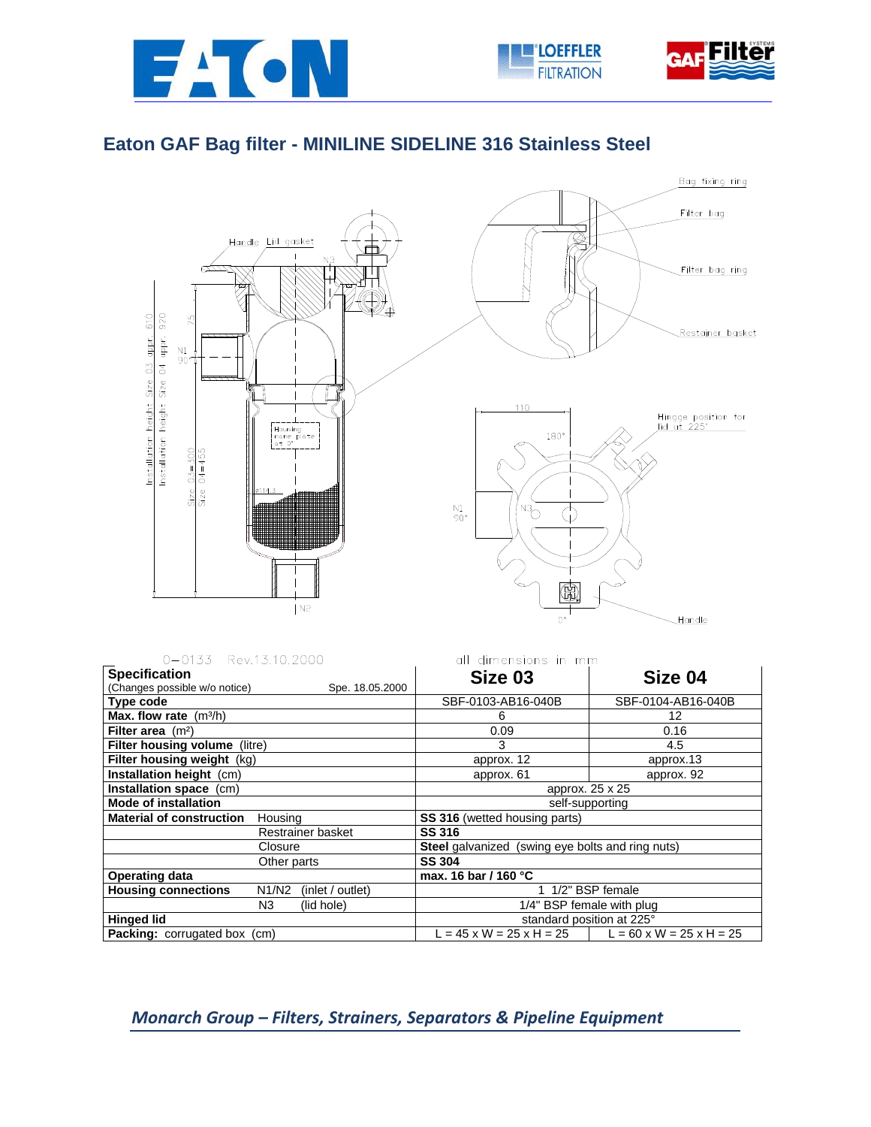





## **Eaton GAF Bag filter - MINILINE SIDELINE 316 Stainless Steel**



| 0-0133 Rev.13.10.2000                                   | all dimensions in mm                             |                                                       |  |
|---------------------------------------------------------|--------------------------------------------------|-------------------------------------------------------|--|
| <b>Specification</b>                                    | Size 03                                          | Size 04                                               |  |
| (Changes possible w/o notice)<br>Spe. 18.05.2000        |                                                  |                                                       |  |
| Type code                                               | SBF-0103-AB16-040B                               | SBF-0104-AB16-040B                                    |  |
| Max. flow rate $(m^3/h)$                                | 6                                                | 12                                                    |  |
| Filter area $(m2)$                                      | 0.09                                             | 0.16                                                  |  |
| <b>Filter housing volume</b> (litre)                    | 3                                                | 4.5                                                   |  |
| Filter housing weight (kg)                              | approx. 12                                       | approx.13                                             |  |
| Installation height (cm)                                | approx. 61                                       | approx. 92                                            |  |
| Installation space (cm)                                 | approx. 25 x 25                                  |                                                       |  |
| <b>Mode of installation</b>                             | self-supporting                                  |                                                       |  |
| <b>Material of construction</b><br>Housing              | <b>SS 316</b> (wetted housing parts)             |                                                       |  |
| Restrainer basket                                       | SS 316                                           |                                                       |  |
| Closure                                                 | Steel galvanized (swing eye bolts and ring nuts) |                                                       |  |
| Other parts                                             | <b>SS 304</b>                                    |                                                       |  |
| <b>Operating data</b>                                   | max. 16 bar / 160 °C                             |                                                       |  |
| <b>Housing connections</b><br>N1/N2<br>(inlet / outlet) | 1/2" BSP female                                  |                                                       |  |
| N3<br>(lid hole)                                        | 1/4" BSP female with plug                        |                                                       |  |
| <b>Hinged lid</b>                                       | standard position at 225°                        |                                                       |  |
| <b>Packing:</b> corrugated box (cm)                     |                                                  | L = 45 x W = 25 x H = 25 $ $ L = 60 x W = 25 x H = 25 |  |

## *Monarch Group – Filters, Strainers, Separators & Pipeline Equipment*